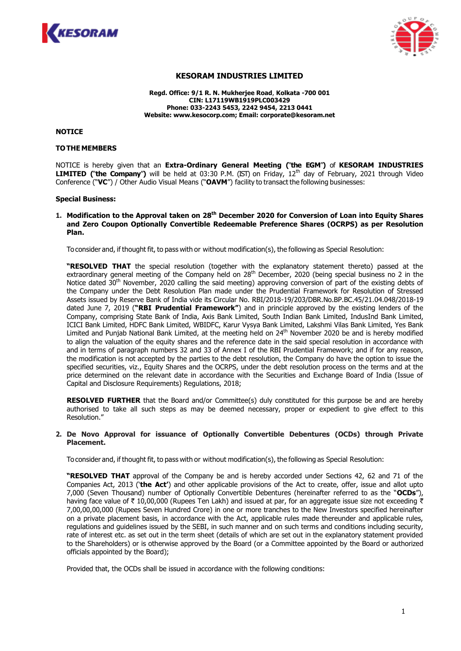



# **KESORAM INDUSTRIES LIMITED**

**Regd. Office: 9/1 R. N. Mukherjee Road**, **Kolkata -700 001 CIN: L17119WB1919PLC003429 Phone: 033-2243 5453, 2242 9454, 2213 0441 Website: www.kesocorp.com; Email: corporate@kesoram.net**

**NOTICE**

#### **TOTHE MEMBERS**

NOTICE is hereby given that an **Extra-Ordinary General Meeting (**"**the EGM**"**)** of **KESORAM INDUSTRIES LIMITED (**"**the Company**"**)** will be held at 03:30 P.M. (IST) on Friday, 12th day of February, 2021 through Video Conference ("**VC**") / Other Audio Visual Means ("**OAVM**") facility to transact the following businesses:

#### **Special Business:**

**1. Modification to the Approval taken on 28th December 2020 for Conversion of Loan into Equity Shares and Zero Coupon Optionally Convertible Redeemable Preference Shares (OCRPS) as per Resolution Plan.**

To consider and, if thought fit, to pass with or without modification(s), the following as Special Resolution:

**"RESOLVED THAT** the special resolution (together with the explanatory statement thereto) passed at the extraordinary general meeting of the Company held on 28<sup>th</sup> December, 2020 (being special business no 2 in the Notice dated 30<sup>th</sup> November, 2020 calling the said meeting) approving conversion of part of the existing debts of the Company under the Debt Resolution Plan made under the Prudential Framework for Resolution of Stressed Assets issued by Reserve Bank of India vide its Circular No. RBI/2018-19/203/DBR.No.BP.BC.45/21.04.048/2018-19 dated June 7, 2019 (**"RBI Prudential Framework"**) and in principle approved by the existing lenders of the Company, comprising State Bank of India, Axis Bank Limited, South Indian Bank Limited, IndusInd Bank Limited, ICICI Bank Limited, HDFC Bank Limited, WBIDFC, Karur Vysya Bank Limited, Lakshmi Vilas Bank Limited, Yes Bank Limited and Punjab National Bank Limited, at the meeting held on 24<sup>th</sup> November 2020 be and is hereby modified to align the valuation of the equity shares and the reference date in the said special resolution in accordance with and in terms of paragraph numbers 32 and 33 of Annex I of the RBI Prudential Framework; and if for any reason, the modification is not accepted by the parties to the debt resolution, the Company do have the option to issue the specified securities, viz., Equity Shares and the OCRPS, under the debt resolution process on the terms and at the price determined on the relevant date in accordance with the Securities and Exchange Board of India (Issue of Capital and Disclosure Requirements) Regulations, 2018;

**RESOLVED FURTHER** that the Board and/or Committee(s) duly constituted for this purpose be and are hereby authorised to take all such steps as may be deemed necessary, proper or expedient to give effect to this Resolution."

#### **2. De Novo Approval for issuance of Optionally Convertible Debentures (OCDs) through Private Placement.**

To consider and, if thought fit, to pass with or without modification(s), the following as Special Resolution:

**"RESOLVED THAT** approval of the Company be and is hereby accorded under Sections 42, 62 and 71 of the Companies Act, 2013 ('**the Act'**) and other applicable provisions of the Act to create, offer, issue and allot upto 7,000 (Seven Thousand) number of Optionally Convertible Debentures (hereinafter referred to as the "**OCDs**"), having face value of  $\bar{\tau}$  10,00,000 (Rupees Ten Lakh) and issued at par, for an aggregate issue size not exceeding  $\bar{\tau}$ 7,00,00,00,000 (Rupees Seven Hundred Crore) in one or more tranches to the New Investors specified hereinafter on a private placement basis, in accordance with the Act, applicable rules made thereunder and applicable rules, regulations and guidelines issued by the SEBI, in such manner and on such terms and conditions including security, rate of interest etc. as set out in the term sheet (details of which are set out in the explanatory statement provided to the Shareholders) or is otherwise approved by the Board (or a Committee appointed by the Board or authorized officials appointed by the Board);

Provided that, the OCDs shall be issued in accordance with the following conditions: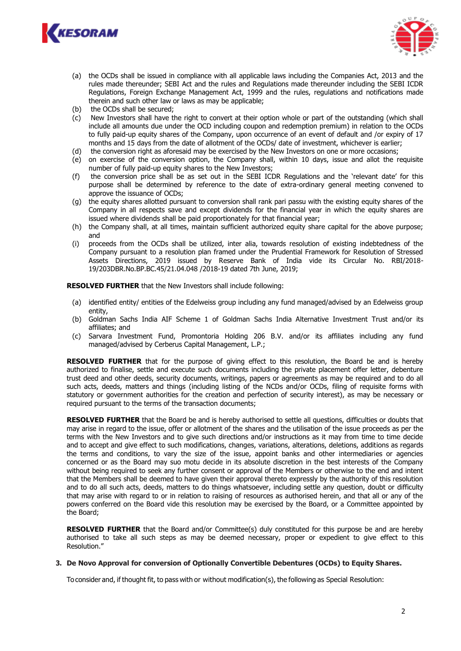



- (a) the OCDs shall be issued in compliance with all applicable laws including the Companies Act, 2013 and the rules made thereunder; SEBI Act and the rules and Regulations made thereunder including the SEBI ICDR Regulations, Foreign Exchange Management Act, 1999 and the rules, regulations and notifications made therein and such other law or laws as may be applicable;
- (b) the OCDs shall be secured;
- (c) New Investors shall have the right to convert at their option whole or part of the outstanding (which shall include all amounts due under the OCD including coupon and redemption premium) in relation to the OCDs to fully paid-up equity shares of the Company, upon occurrence of an event of default and /or expiry of 17 months and 15 days from the date of allotment of the OCDs/ date of investment, whichever is earlier;
- (d) the conversion right as aforesaid may be exercised by the New Investors on one or more occasions;
- (e) on exercise of the conversion option, the Company shall, within 10 days, issue and allot the requisite number of fully paid-up equity shares to the New Investors;
- (f) the conversion price shall be as set out in the SEBI ICDR Regulations and the 'relevant date' for this purpose shall be determined by reference to the date of extra-ordinary general meeting convened to approve the issuance of OCDs;
- (g) the equity shares allotted pursuant to conversion shall rank pari passu with the existing equity shares of the Company in all respects save and except dividends for the financial year in which the equity shares are issued where dividends shall be paid proportionately for that financial year;
- (h) the Company shall, at all times, maintain sufficient authorized equity share capital for the above purpose; and
- (i) proceeds from the OCDs shall be utilized, inter alia, towards resolution of existing indebtedness of the Company pursuant to a resolution plan framed under the Prudential Framework for Resolution of Stressed Assets Directions, 2019 issued by Reserve Bank of India vide its Circular No. RBI/2018- 19/203DBR.No.BP.BC.45/21.04.048 /2018-19 dated 7th June, 2019;

**RESOLVED FURTHER** that the New Investors shall include following:

- (a) identified entity/ entities of the Edelweiss group including any fund managed/advised by an Edelweiss group entity,
- (b) Goldman Sachs India AIF Scheme 1 of Goldman Sachs India Alternative Investment Trust and/or its affiliates; and
- (c) Sarvara Investment Fund, Promontoria Holding 206 B.V. and/or its affiliates including any fund managed/advised by Cerberus Capital Management, L.P.;

**RESOLVED FURTHER** that for the purpose of giving effect to this resolution, the Board be and is hereby authorized to finalise, settle and execute such documents including the private placement offer letter, debenture trust deed and other deeds, security documents, writings, papers or agreements as may be required and to do all such acts, deeds, matters and things (including listing of the NCDs and/or OCDs, filing of requisite forms with statutory or government authorities for the creation and perfection of security interest), as may be necessary or required pursuant to the terms of the transaction documents;

**RESOLVED FURTHER** that the Board be and is hereby authorised to settle all questions, difficulties or doubts that may arise in regard to the issue, offer or allotment of the shares and the utilisation of the issue proceeds as per the terms with the New Investors and to give such directions and/or instructions as it may from time to time decide and to accept and give effect to such modifications, changes, variations, alterations, deletions, additions as regards the terms and conditions, to vary the size of the issue, appoint banks and other intermediaries or agencies concerned or as the Board may suo motu decide in its absolute discretion in the best interests of the Company without being required to seek any further consent or approval of the Members or otherwise to the end and intent that the Members shall be deemed to have given their approval thereto expressly by the authority of this resolution and to do all such acts, deeds, matters to do things whatsoever, including settle any question, doubt or difficulty that may arise with regard to or in relation to raising of resources as authorised herein, and that all or any of the powers conferred on the Board vide this resolution may be exercised by the Board, or a Committee appointed by the Board;

**RESOLVED FURTHER** that the Board and/or Committee(s) duly constituted for this purpose be and are hereby authorised to take all such steps as may be deemed necessary, proper or expedient to give effect to this Resolution."

## **3. De Novo Approval for conversion of Optionally Convertible Debentures (OCDs) to Equity Shares.**

To consider and, if thought fit, to pass with or without modification(s), the following as Special Resolution: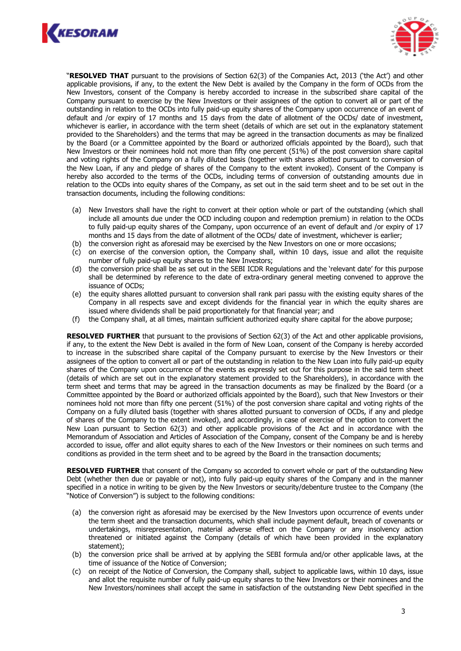



"**RESOLVED THAT** pursuant to the provisions of Section 62(3) of the Companies Act, 2013 ('the Act') and other applicable provisions, if any, to the extent the New Debt is availed by the Company in the form of OCDs from the New Investors, consent of the Company is hereby accorded to increase in the subscribed share capital of the Company pursuant to exercise by the New Investors or their assignees of the option to convert all or part of the outstanding in relation to the OCDs into fully paid-up equity shares of the Company upon occurrence of an event of default and /or expiry of 17 months and 15 days from the date of allotment of the OCDs/ date of investment, whichever is earlier, in accordance with the term sheet (details of which are set out in the explanatory statement provided to the Shareholders) and the terms that may be agreed in the transaction documents as may be finalized by the Board (or a Committee appointed by the Board or authorized officials appointed by the Board), such that New Investors or their nominees hold not more than fifty one percent (51%) of the post conversion share capital and voting rights of the Company on a fully diluted basis (together with shares allotted pursuant to conversion of the New Loan, if any and pledge of shares of the Company to the extent invoked). Consent of the Company is hereby also accorded to the terms of the OCDs, including terms of conversion of outstanding amounts due in relation to the OCDs into equity shares of the Company, as set out in the said term sheet and to be set out in the transaction documents, including the following conditions:

- (a) New Investors shall have the right to convert at their option whole or part of the outstanding (which shall include all amounts due under the OCD including coupon and redemption premium) in relation to the OCDs to fully paid-up equity shares of the Company, upon occurrence of an event of default and /or expiry of 17 months and 15 days from the date of allotment of the OCDs/ date of investment, whichever is earlier;
- (b) the conversion right as aforesaid may be exercised by the New Investors on one or more occasions;
- (c) on exercise of the conversion option, the Company shall, within 10 days, issue and allot the requisite number of fully paid-up equity shares to the New Investors;
- (d) the conversion price shall be as set out in the SEBI ICDR Regulations and the 'relevant date' for this purpose shall be determined by reference to the date of extra-ordinary general meeting convened to approve the issuance of OCDs;
- (e) the equity shares allotted pursuant to conversion shall rank pari passu with the existing equity shares of the Company in all respects save and except dividends for the financial year in which the equity shares are issued where dividends shall be paid proportionately for that financial year; and
- (f) the Company shall, at all times, maintain sufficient authorized equity share capital for the above purpose;

**RESOLVED FURTHER** that pursuant to the provisions of Section 62(3) of the Act and other applicable provisions, if any, to the extent the New Debt is availed in the form of New Loan, consent of the Company is hereby accorded to increase in the subscribed share capital of the Company pursuant to exercise by the New Investors or their assignees of the option to convert all or part of the outstanding in relation to the New Loan into fully paid-up equity shares of the Company upon occurrence of the events as expressly set out for this purpose in the said term sheet (details of which are set out in the explanatory statement provided to the Shareholders), in accordance with the term sheet and terms that may be agreed in the transaction documents as may be finalized by the Board (or a Committee appointed by the Board or authorized officials appointed by the Board), such that New Investors or their nominees hold not more than fifty one percent (51%) of the post conversion share capital and voting rights of the Company on a fully diluted basis (together with shares allotted pursuant to conversion of OCDs, if any and pledge of shares of the Company to the extent invoked), and accordingly, in case of exercise of the option to convert the New Loan pursuant to Section 62(3) and other applicable provisions of the Act and in accordance with the Memorandum of Association and Articles of Association of the Company, consent of the Company be and is hereby accorded to issue, offer and allot equity shares to each of the New Investors or their nominees on such terms and conditions as provided in the term sheet and to be agreed by the Board in the transaction documents;

**RESOLVED FURTHER** that consent of the Company so accorded to convert whole or part of the outstanding New Debt (whether then due or payable or not), into fully paid-up equity shares of the Company and in the manner specified in a notice in writing to be given by the New Investors or security/debenture trustee to the Company (the "Notice of Conversion") is subject to the following conditions:

- (a) the conversion right as aforesaid may be exercised by the New Investors upon occurrence of events under the term sheet and the transaction documents, which shall include payment default, breach of covenants or undertakings, misrepresentation, material adverse effect on the Company or any insolvency action threatened or initiated against the Company (details of which have been provided in the explanatory statement);
- (b) the conversion price shall be arrived at by applying the SEBI formula and/or other applicable laws, at the time of issuance of the Notice of Conversion;
- (c) on receipt of the Notice of Conversion, the Company shall, subject to applicable laws, within 10 days, issue and allot the requisite number of fully paid-up equity shares to the New Investors or their nominees and the New Investors/nominees shall accept the same in satisfaction of the outstanding New Debt specified in the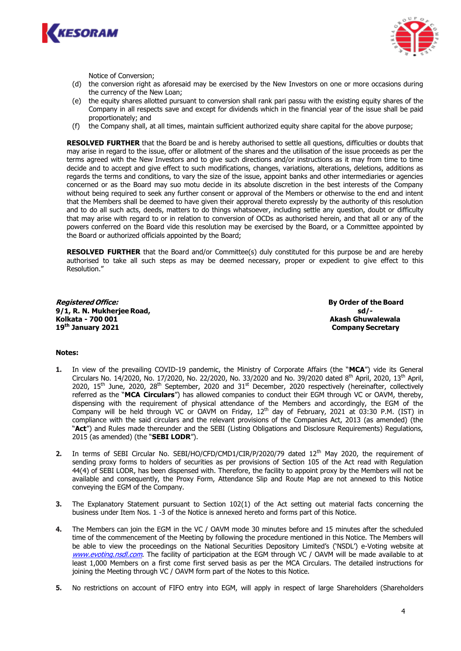



Notice of Conversion;

- (d) the conversion right as aforesaid may be exercised by the New Investors on one or more occasions during the currency of the New Loan;
- (e) the equity shares allotted pursuant to conversion shall rank pari passu with the existing equity shares of the Company in all respects save and except for dividends which in the financial year of the issue shall be paid proportionately; and
- (f) the Company shall, at all times, maintain sufficient authorized equity share capital for the above purpose;

**RESOLVED FURTHER** that the Board be and is hereby authorised to settle all questions, difficulties or doubts that may arise in regard to the issue, offer or allotment of the shares and the utilisation of the issue proceeds as per the terms agreed with the New Investors and to give such directions and/or instructions as it may from time to time decide and to accept and give effect to such modifications, changes, variations, alterations, deletions, additions as regards the terms and conditions, to vary the size of the issue, appoint banks and other intermediaries or agencies concerned or as the Board may suo motu decide in its absolute discretion in the best interests of the Company without being required to seek any further consent or approval of the Members or otherwise to the end and intent that the Members shall be deemed to have given their approval thereto expressly by the authority of this resolution and to do all such acts, deeds, matters to do things whatsoever, including settle any question, doubt or difficulty that may arise with regard to or in relation to conversion of OCDs as authorised herein, and that all or any of the powers conferred on the Board vide this resolution may be exercised by the Board, or a Committee appointed by the Board or authorized officials appointed by the Board;

**RESOLVED FURTHER** that the Board and/or Committee(s) duly constituted for this purpose be and are hereby authorised to take all such steps as may be deemed necessary, proper or expedient to give effect to this Resolution."

**Registered Office: By Order of the Board 9/1, R. N. Mukherjee Road, sd/- Kolkata - 700 001 Akash Ghuwalewala 19th January 2021 Company Secretary**

## **Notes:**

- **1.** In view of the prevailing COVID-19 pandemic, the Ministry of Corporate Affairs (the "**MCA**") vide its General Circulars No. 14/2020, No. 17/2020, No. 22/2020, No. 33/2020 and No. 39/2020 dated 8<sup>th</sup> April, 2020, 13<sup>th</sup> April, 2020, 15<sup>th</sup> June, 2020, 28<sup>th</sup> September, 2020 and 31<sup>st</sup> December, 2020 respectively (hereinafter, collectively referred as the "**MCA Circulars**") has allowed companies to conduct their EGM through VC or OAVM, thereby, dispensing with the requirement of physical attendance of the Members and accordingly, the EGM of the Company will be held through VC or OAVM on Friday, 12th day of February, 2021 at 03:30 P.M. (IST) in compliance with the said circulars and the relevant provisions of the Companies Act, 2013 (as amended) (the "**Act**") and Rules made thereunder and the SEBI (Listing Obligations and Disclosure Requirements) Regulations, 2015 (as amended) (the "**SEBI LODR**").
- **2.** In terms of SEBI Circular No. SEBI/HO/CFD/CMD1/CIR/P/2020/79 dated 12th May 2020, the requirement of sending proxy forms to holders of securities as per provisions of Section 105 of the Act read with Regulation 44(4) of SEBI LODR, has been dispensed with. Therefore, the facility to appoint proxy by the Members will not be available and consequently, the Proxy Form, Attendance Slip and Route Map are not annexed to this Notice conveying the EGM of the Company.
- **3.** The Explanatory Statement pursuant to Section 102(1) of the Act setting out material facts concerning the business under Item Nos. 1 -3 of the Notice is annexed hereto and forms part of this Notice.
- **4.** The Members can join the EGM in the VC / OAVM mode 30 minutes before and 15 minutes after the scheduled time of the commencement of the Meeting by following the procedure mentioned in this Notice. The Members will be able to view the proceedings on the National Securities Depository Limited's ('NSDL') e-Voting website at [www.evoting.nsdl.com](http://www.evoting.nsdl.com/). The facility of participation at the EGM through VC / OAVM will be made available to at least 1,000 Members on a first come first served basis as per the MCA Circulars. The detailed instructions for joining the Meeting through VC / OAVM form part of the Notes to this Notice.
- **5.** No restrictions on account of FIFO entry into EGM, will apply in respect of large Shareholders (Shareholders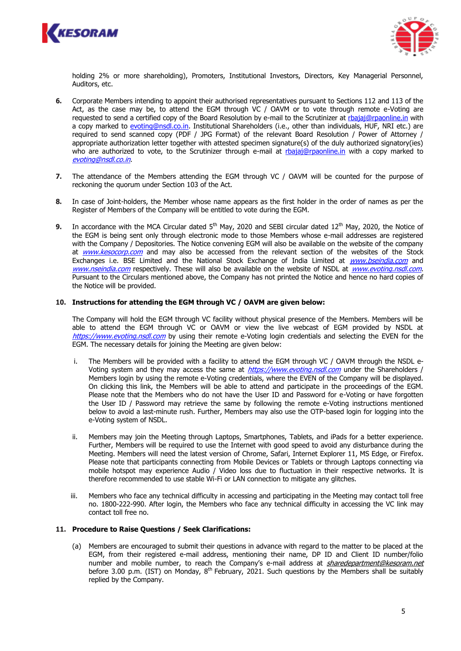



holding 2% or more shareholding), Promoters, Institutional Investors, Directors, Key Managerial Personnel, Auditors, etc.

- **6.** Corporate Members intending to appoint their authorised representatives pursuant to Sections 112 and 113 of the Act, as the case may be, to attend the EGM through VC / OAVM or to vote through remote e-Voting are requested to send a certified copy of the Board Resolution by e-mail to the Scrutinizer at [rbajaj@rpaonline.in](mailto:rbajaj@rpaonline.in) with a copy marked to [evoting@nsdl.co.in.](mailto:evoting@nsdl.co.in) Institutional Shareholders (i.e., other than individuals, HUF, NRI etc.) are required to send scanned copy (PDF / JPG Format) of the relevant Board Resolution / Power of Attorney / appropriate authorization letter together with attested specimen signature(s) of the duly authorized signatory(ies) who are authorized to vote, to the Scrutinizer through e-mail at [rbajaj@rpaonline.in](mailto:rbajaj@rpaonline.in) with a copy marked to [evoting@nsdl.co.in](mailto:evoting@nsdl.co.in).
- **7.** The attendance of the Members attending the EGM through VC / OAVM will be counted for the purpose of reckoning the quorum under Section 103 of the Act.
- **8.** In case of Joint-holders, the Member whose name appears as the first holder in the order of names as per the Register of Members of the Company will be entitled to vote during the EGM.
- **9.** In accordance with the MCA Circular dated 5<sup>th</sup> May, 2020 and SEBI circular dated 12<sup>th</sup> May, 2020, the Notice of the EGM is being sent only through electronic mode to those Members whose e-mail addresses are registered with the Company / Depositories. The Notice convening EGM will also be available on the website of the company at [www.kesocorp.com](http://www.kesocorp.com/) and may also be accessed from the relevant section of the websites of the Stock Exchanges i.e. BSE Limited and the National Stock Exchange of India Limited at *[www.bseindia.com](http://www.bseindia.com/)* and [www.nseindia.com](http://www.nseindia.com/) respectively. These will also be available on the website of NSDL at [www.evoting.nsdl.com](http://www.evoting.nsdl.com/). Pursuant to the Circulars mentioned above, the Company has not printed the Notice and hence no hard copies of the Notice will be provided.

### **10. Instructions for attending the EGM through VC / OAVM are given below:**

The Company will hold the EGM through VC facility without physical presence of the Members. Members will be able to attend the EGM through VC or OAVM or view the live webcast of EGM provided by NSDL at [https://www.evoting.nsdl.com](https://www.evoting.nsdl.com/) by using their remote e-Voting login credentials and selecting the EVEN for the EGM. The necessary details for joining the Meeting are given below:

- i. The Members will be provided with a facility to attend the EGM through VC / OAVM through the NSDL eVoting system and they may access the same at [https://www.evoting.nsdl.com](https://www.evoting.nsdl.com/) under the Shareholders / Members login by using the remote e-Voting credentials, where the EVEN of the Company will be displayed. On clicking this link, the Members will be able to attend and participate in the proceedings of the EGM. Please note that the Members who do not have the User ID and Password for e-Voting or have forgotten the User ID / Password may retrieve the same by following the remote e-Voting instructions mentioned below to avoid a last-minute rush. Further, Members may also use the OTP-based login for logging into the e-Voting system of NSDL.
- ii. Members may join the Meeting through Laptops, Smartphones, Tablets, and iPads for a better experience. Further, Members will be required to use the Internet with good speed to avoid any disturbance during the Meeting. Members will need the latest version of Chrome, Safari, Internet Explorer 11, MS Edge, or Firefox. Please note that participants connecting from Mobile Devices or Tablets or through Laptops connecting via mobile hotspot may experience Audio / Video loss due to fluctuation in their respective networks. It is therefore recommended to use stable Wi-Fi or LAN connection to mitigate any glitches.
- iii. Members who face any technical difficulty in accessing and participating in the Meeting may contact toll free no. 1800-222-990. After login, the Members who face any technical difficulty in accessing the VC link may contact toll free no.

#### **11. Procedure to Raise Questions / Seek Clarifications:**

(a) Members are encouraged to submit their questions in advance with regard to the matter to be placed at the EGM, from their registered e-mail address, mentioning their name, DP ID and Client ID number/folio number and mobile number, to reach the Company's e-mail address at *[sharedepartment@kesoram.net](mailto:sharedepartment@kesoram.net)* before 3.00 p.m. (IST) on Monday, 8<sup>th</sup> February, 2021. Such questions by the Members shall be suitably replied by the Company.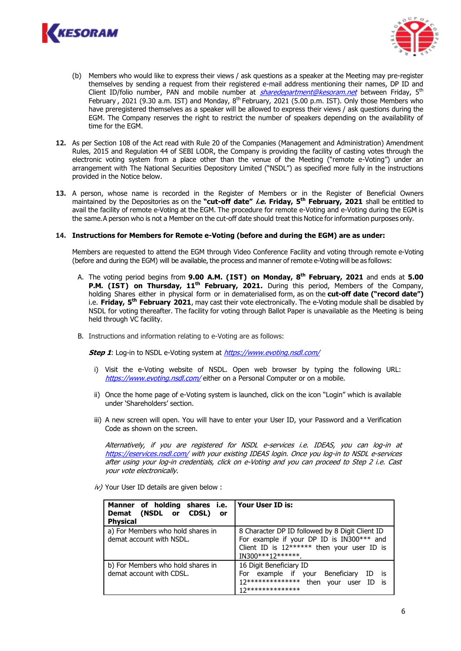



- (b) Members who would like to express their views / ask questions as a speaker at the Meeting may pre-register themselves by sending a request from their registered e-mail address mentioning their names, DP ID and Client ID/folio number, PAN and mobile number at *[sharedepartment@kesoram.net](mailto:sharedepartment@kesoram.net)* between Friday, 5<sup>th</sup> February , 2021 (9.30 a.m. IST) and Monday,  $8^{th}$  February, 2021 (5.00 p.m. IST). Only those Members who have preregistered themselves as a speaker will be allowed to express their views / ask questions during the EGM. The Company reserves the right to restrict the number of speakers depending on the availability of time for the EGM.
- **12.** As per Section 108 of the Act read with Rule 20 of the Companies (Management and Administration) Amendment Rules, 2015 and Regulation 44 of SEBI LODR, the Company is providing the facility of casting votes through the electronic voting system from a place other than the venue of the Meeting ("remote e-Voting") under an arrangement with The National Securities Depository Limited ("NSDL") as specified more fully in the instructions provided in the Notice below.
- **13.** A person, whose name is recorded in the Register of Members or in the Register of Beneficial Owners maintained by the Depositories as on the **"cut-off date" i.e. Friday, 5th February, 2021** shall be entitled to avail the facility of remote e-Voting at the EGM. The procedure for remote e-Voting and e-Voting during the EGM is the same. A person who is not a Member on the cut-off date should treat this Notice for information purposes only.

#### **14. Instructions for Members for Remote e-Voting (before and during the EGM) are as under:**

Members are requested to attend the EGM through Video Conference Facility and voting through remote e-Voting (before and during the EGM) will be available, the process and manner of remote e-Voting will be as follows:

- A. The voting period begins from **9.00 A.M. (IST) on Monday, 8th February, 2021** and ends at **5.00 P.M. (IST) on Thursday, 11th February, 2021.** During this period, Members of the Company, holding Shares either in physical form or in dematerialised form, as on the **cut-off date ("record date")** i.e. **Friday, 5th February 2021**, may cast their vote electronically. The e-Voting module shall be disabled by NSDL for voting thereafter. The facility for voting through Ballot Paper is unavailable as the Meeting is being held through VC facility.
- B. Instructions and information relating to e-Voting are as follows:

**Step 1**: Log-in to NSDL e-Voting system at <https://www.evoting.nsdl.com/>

- i) Visit the e-Voting website of NSDL. Open web browser by typing the following URL: <https://www.evoting.nsdl.com/> either on a Personal Computer or on a mobile.
- ii) Once the home page of e-Voting system is launched, click on the icon "Login" which is available under 'Shareholders' section.
- iii) A new screen will open. You will have to enter your User ID, your Password and a Verification Code as shown on the screen.

Alternatively, if you are registered for NSDL e-services i.e. IDEAS, you can log-in at <https://eservices.nsdl.com/> with your existing IDEAS login. Once you log-in to NSDL e-services after using your log-in credentials, click on e-Voting and you can proceed to Step 2 i.e. Cast your vote electronically.

| Manner of holding shares i.e.<br>Demat (NSDL or CDSL)<br>or -<br><b>Physical</b> | l Your User ID is:                                                                                                                                                 |
|----------------------------------------------------------------------------------|--------------------------------------------------------------------------------------------------------------------------------------------------------------------|
| a) For Members who hold shares in<br>demat account with NSDL.                    | 8 Character DP ID followed by 8 Digit Client ID<br>For example if your DP ID is IN300*** and<br>Client ID is $12******$ then your user ID is<br>IN300***12*******. |
| b) For Members who hold shares in<br>demat account with CDSL.                    | 16 Digit Beneficiary ID<br>For example if your Beneficiary<br>is<br>ID<br>12***************<br>then<br>is.<br>ID.<br>vour<br>user<br>17**************              |

 $iv$ ) Your User ID details are given below :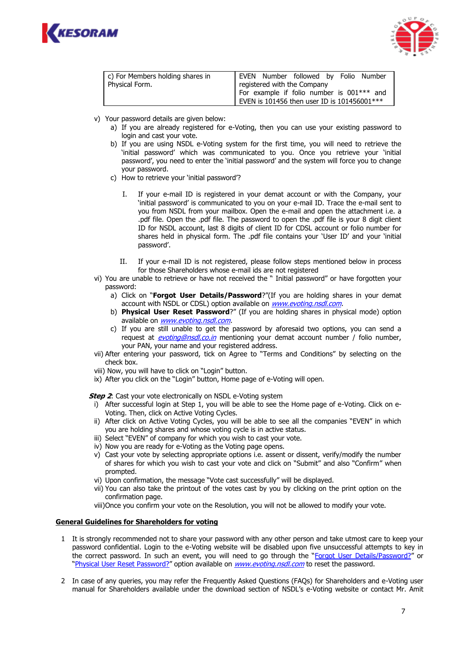



| c) For Members holding shares in | EVEN Number followed by Folio Number        |  |  |
|----------------------------------|---------------------------------------------|--|--|
| Physical Form.                   | registered with the Company                 |  |  |
|                                  | For example if folio number is 001*** and   |  |  |
|                                  | EVEN is 101456 then user ID is 101456001*** |  |  |

- v) Your password details are given below:
	- a) If you are already registered for e-Voting, then you can use your existing password to login and cast your vote.
	- b) If you are using NSDL e-Voting system for the first time, you will need to retrieve the 'initial password' which was communicated to you. Once you retrieve your 'initial password', you need to enter the 'initial password' and the system will force you to change your password.
	- c) How to retrieve your 'initial password'?
		- I. If your e-mail ID is registered in your demat account or with the Company, your 'initial password' is communicated to you on your e-mail ID. Trace the e-mail sent to you from NSDL from your mailbox. Open the e-mail and open the attachment i.e. a .pdf file. Open the .pdf file. The password to open the .pdf file is your 8 digit client ID for NSDL account, last 8 digits of client ID for CDSL account or folio number for shares held in physical form. The .pdf file contains your 'User ID' and your 'initial password'.
		- II. If your e-mail ID is not registered, please follow steps mentioned below in process for those Shareholders whose e-mail ids are not registered
- vi) You are unable to retrieve or have not received the " Initial password" or have forgotten your password:
	- a) Click on "**[Forgot User Details/Password](https://www.evoting.nsdl.com/eVotingWeb/commonhtmls/NewUser.jsp)**?"(If you are holding shares in your demat account with NSDL or CDSL) option available on *[www.evoting.nsdl.com.](http://www.evoting.nsdl.com/)*
	- b) **[Physical User Reset Password](https://www.evoting.nsdl.com/eVotingWeb/commonhtmls/PhysicalUser.jsp)**?" (If you are holding shares in physical mode) option available on [www.evoting.nsdl.com.](http://www.evoting.nsdl.com/)
	- c) If you are still unable to get the password by aforesaid two options, you can send a request at *[evoting@nsdl.co.in](mailto:evoting@nsdl.co.in)* mentioning your demat account number / folio number, your PAN, your name and your registered address.
- vii) After entering your password, tick on Agree to "Terms and Conditions" by selecting on the check box.
- viii) Now, you will have to click on "Login" button.
- ix) After you click on the "Login" button, Home page of e-Voting will open.

**Step 2:** Cast your vote electronically on NSDL e-Voting system

- i) After successful login at Step 1, you will be able to see the Home page of e-Voting. Click on e-Voting. Then, click on Active Voting Cycles.
- ii) After click on Active Voting Cycles, you will be able to see all the companies "EVEN" in which you are holding shares and whose voting cycle is in active status.
- iii) Select "EVEN" of company for which you wish to cast your vote.
- iv) Now you are ready for e-Voting as the Voting page opens.
- v) Cast your vote by selecting appropriate options i.e. assent or dissent, verify/modify the number of shares for which you wish to cast your vote and click on "Submit" and also "Confirm" when prompted.
- vi) Upon confirmation, the message "Vote cast successfully" will be displayed.
- vii) You can also take the printout of the votes cast by you by clicking on the print option on the confirmation page.
- viii)Once you confirm your vote on the Resolution, you will not be allowed to modify your vote.

#### **General Guidelines for Shareholders for voting**

- 1 It is strongly recommended not to share your password with any other person and take utmost care to keep your password confidential. Login to the e-Voting website will be disabled upon five unsuccessful attempts to key in the correct password. In such an event, you will need to go through the "[Forgot User Details/Password?](https://www.evoting.nsdl.com/eVotingWeb/commonhtmls/NewUser.jsp)" or "[Physical User Reset Password?](https://www.evoting.nsdl.com/eVotingWeb/commonhtmls/PhysicalUser.jsp)" option available on [www.evoting.nsdl.com](http://www.evoting.nsdl.com/) to reset the password.
- 2 In case of any queries, you may refer the Frequently Asked Questions (FAQs) for Shareholders and e-Voting user manual for Shareholders available under the download section of NSDL's e-Voting website or contact Mr. Amit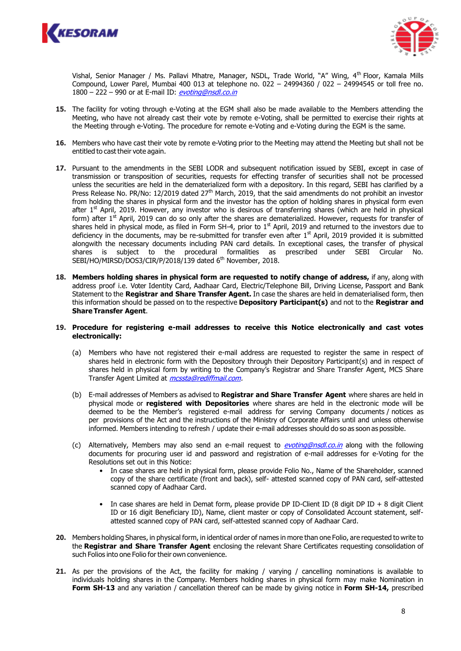



Vishal, Senior Manager / Ms. Pallavi Mhatre, Manager, NSDL, Trade World, "A" Wing, 4<sup>th</sup> Floor, Kamala Mills Compound, Lower Parel, Mumbai 400 013 at telephone no. 022 – 24994360 / 022 – 24994545 or toll free no.  $1800 - 222 - 990$  or at E-mail ID: [evoting@nsdl.co.in](mailto:evoting@nsdl.co.in)

- **15.** The facility for voting through e-Voting at the EGM shall also be made available to the Members attending the Meeting, who have not already cast their vote by remote e-Voting, shall be permitted to exercise their rights at the Meeting through e-Voting. The procedure for remote e-Voting and e-Voting during the EGM is the same.
- **16.** Members who have cast their vote by remote e-Voting prior to the Meeting may attend the Meeting but shall not be entitled to cast their vote again.
- **17.** Pursuant to the amendments in the SEBI LODR and subsequent notification issued by SEBI, except in case of transmission or transposition of securities, requests for effecting transfer of securities shall not be processed unless the securities are held in the dematerialized form with a depository. In this regard, SEBI has clarified by a Press Release No. PR/No: 12/2019 dated 27<sup>th</sup> March, 2019, that the said amendments do not prohibit an investor from holding the shares in physical form and the investor has the option of holding shares in physical form even after  $1<sup>st</sup>$  April, 2019. However, any investor who is desirous of transferring shares (which are held in physical form) after 1<sup>st</sup> April, 2019 can do so only after the shares are dematerialized. However, requests for transfer of shares held in physical mode, as filed in Form SH-4, prior to 1<sup>st</sup> April, 2019 and returned to the investors due to deficiency in the documents, may be re-submitted for transfer even after 1<sup>st</sup> April, 2019 provided it is submitted alongwith the necessary documents including PAN card details. In exceptional cases, the transfer of physical shares is subject to the procedural formalities as prescribed under SEBI Circular SEBI/HO/MIRSD/DOS3/CIR/P/2018/139 dated 6<sup>th</sup> November, 2018.
- **18. Members holding shares in physical form are requested to notify change of address,** if any, along with address proof i.e. Voter Identity Card, Aadhaar Card, Electric/Telephone Bill, Driving License, Passport and Bank Statement to the **Registrar and Share Transfer Agent.** In case the shares are held in dematerialised form, then this information should be passed on to the respective **Depository Participant(s)** and not to the **Registrar and Share Transfer Agent**.

#### **19. Procedure for registering e-mail addresses to receive this Notice electronically and cast votes electronically:**

- (a) Members who have not registered their e-mail address are requested to register the same in respect of shares held in electronic form with the Depository through their Depository Participant(s) and in respect of shares held in physical form by writing to the Company's Registrar and Share Transfer Agent, MCS Share Transfer Agent Limited at *mcssta@rediffmail.com*.
- (b) E-mail addresses of Members as advised to **Registrar and Share Transfer Agent** where shares are held in physical mode or **registered with Depositories** where shares are held in the electronic mode will be deemed to be the Member's registered e-mail address for serving Company documents / notices as per provisions of the Act and the instructions of the Ministry of Corporate Affairs until and unless otherwise informed. Members intending to refresh / update their e-mail addresses should do so as soon as possible.
- (c) Alternatively, Members may also send an e-mail request to [evoting@nsdl.co.in](mailto:evoting@nsdl.co.in) along with the following documents for procuring user id and password and registration of e-mail addresses for e-Voting for the Resolutions set out in this Notice:
	- In case shares are held in physical form, please provide Folio No., Name of the Shareholder, scanned copy of the share certificate (front and back), self- attested scanned copy of PAN card, self-attested scanned copy of Aadhaar Card.
	- In case shares are held in Demat form, please provide DP ID-Client ID (8 digit DP ID + 8 digit Client ID or 16 digit Beneficiary ID), Name, client master or copy of Consolidated Account statement, selfattested scanned copy of PAN card, self-attested scanned copy of Aadhaar Card.
- **20.** Members holding Shares, in physical form, in identical order of names in more than one Folio, are requested to write to the **Registrar and Share Transfer Agent** enclosing the relevant Share Certificates requesting consolidation of such Folios into one Folio for their own convenience.
- **21.** As per the provisions of the Act, the facility for making / varying / cancelling nominations is available to individuals holding shares in the Company. Members holding shares in physical form may make Nomination in **Form SH-13** and any variation / cancellation thereof can be made by giving notice in **Form SH-14,** prescribed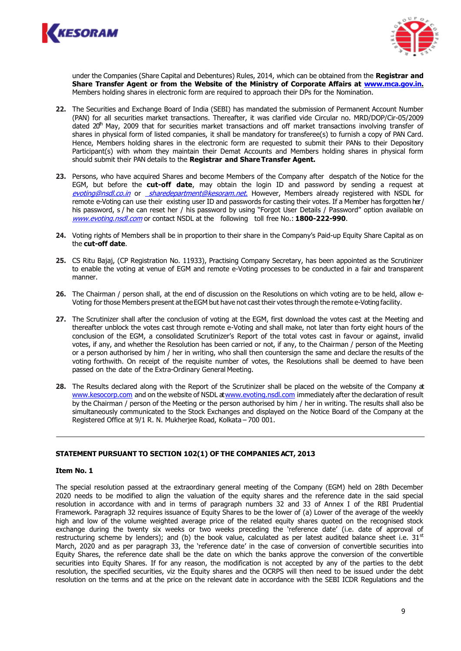



under the Companies (Share Capital and Debentures) Rules, 2014, which can be obtained from the **Registrar and Share Transfer Agent or from the Website of the Ministry of Corporate Affairs at [www.mca.gov.in.](http://www.mca.gov.in./)** Members holding shares in electronic form are required to approach their DPs for the Nomination.

- **22.** The Securities and Exchange Board of India (SEBI) has mandated the submission of Permanent Account Number (PAN) for all securities market transactions. Thereafter, it was clarified vide Circular no. MRD/DOP/Cir-05/2009 dated 20<sup>th</sup> May, 2009 that for securities market transactions and off market transactions involving transfer of shares in physical form of listed companies, it shall be mandatory for transferee(s) to furnish a copy of PAN Card. Hence, Members holding shares in the electronic form are requested to submit their PANs to their Depository Participant(s) with whom they maintain their Demat Accounts and Members holding shares in physical form should submit their PAN details to the **Registrar and Share Transfer Agent.**
- **23.** Persons, who have acquired Shares and become Members of the Company after despatch of the Notice for the EGM, but before the **cut-off date**, may obtain the login ID and password by sending a request at [evoting@nsdl.co.in](mailto:evoting@nsdl.co.in) or [sharedepartment@kesoram.net](mailto:%20sharedepartment@kesoram.net.). However, Members already registered with NSDL for remote e-Voting can use their existing user ID and passwords for casting their votes. If a Member has forgotten her / his password, s / he can reset her / his password by using "Forgot User Details / Password" option available on [www.evoting.nsdl.com](http://www.evoting.nsdl.com/) or contact NSDL at the following toll free No.: **1800-222-990**.
- **24.** Voting rights of Members shall be in proportion to their share in the Company's Paid-up Equity Share Capital as on the **cut-off date**.
- **25.** CS Ritu Bajaj, (CP Registration No. 11933), Practising Company Secretary, has been appointed as the Scrutinizer to enable the voting at venue of EGM and remote e-Voting processes to be conducted in a fair and transparent manner.
- **26.** The Chairman / person shall, at the end of discussion on the Resolutions on which voting are to be held, allow e-Voting for those Members present at theEGM but have not cast their votes through the remote e-Voting facility.
- **27.** The Scrutinizer shall after the conclusion of voting at the EGM, first download the votes cast at the Meeting and thereafter unblock the votes cast through remote e-Voting and shall make, not later than forty eight hours of the conclusion of the EGM, a consolidated Scrutinizer's Report of the total votes cast in favour or against, invalid votes, if any, and whether the Resolution has been carried or not, if any, to the Chairman / person of the Meeting or a person authorised by him / her in writing, who shall then countersign the same and declare the results of the voting forthwith. On receipt of the requisite number of votes, the Resolutions shall be deemed to have been passed on the date of the Extra-Ordinary General Meeting.
- **28.** The Results declared along with the Report of the Scrutinizer shall be placed on the website of the Company at [www.kesocorp.com](http://www.kesocorp.com/) and on the website of NSDL a[t www.evoting.nsdl.com](http://www.evoting.nsdl.com/) immediately after the declaration of result by the Chairman / person of the Meeting or the person authorised by him / her in writing. The results shall also be simultaneously communicated to the Stock Exchanges and displayed on the Notice Board of the Company at the Registered Office at 9/1 R. N. Mukherjee Road, Kolkata – 700 001.

## **STATEMENT PURSUANT TO SECTION 102(1) OF THE COMPANIES ACT, 2013**

#### **Item No. 1**

The special resolution passed at the extraordinary general meeting of the Company (EGM) held on 28th December 2020 needs to be modified to align the valuation of the equity shares and the reference date in the said special resolution in accordance with and in terms of paragraph numbers 32 and 33 of Annex I of the RBI Prudential Framework. Paragraph 32 requires issuance of Equity Shares to be the lower of (a) Lower of the average of the weekly high and low of the volume weighted average price of the related equity shares quoted on the recognised stock exchange during the twenty six weeks or two weeks preceding the 'reference date' (i.e. date of approval of restructuring scheme by lenders); and (b) the book value, calculated as per latest audited balance sheet i.e.  $31<sup>st</sup>$ March, 2020 and as per paragraph 33, the 'reference date' in the case of conversion of convertible securities into Equity Shares, the reference date shall be the date on which the banks approve the conversion of the convertible securities into Equity Shares. If for any reason, the modification is not accepted by any of the parties to the debt resolution, the specified securities, viz the Equity shares and the OCRPS will then need to be issued under the debt resolution on the terms and at the price on the relevant date in accordance with the SEBI ICDR Regulations and the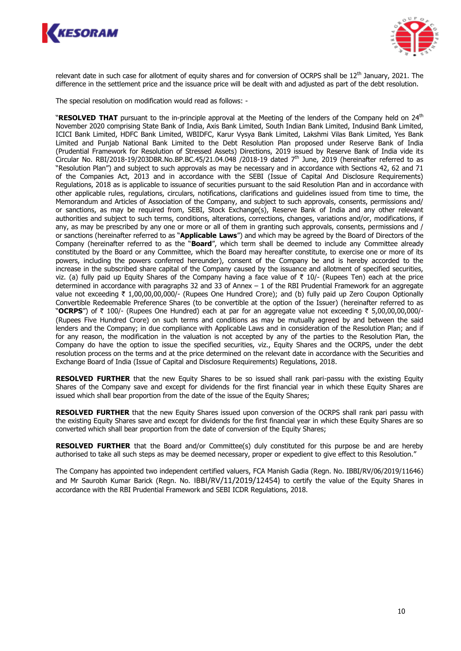



relevant date in such case for allotment of equity shares and for conversion of OCRPS shall be  $12^{th}$  January, 2021. The difference in the settlement price and the issuance price will be dealt with and adjusted as part of the debt resolution.

The special resolution on modification would read as follows: -

"RESOLVED THAT pursuant to the in-principle approval at the Meeting of the lenders of the Company held on 24<sup>th</sup> November 2020 comprising State Bank of India, Axis Bank Limited, South Indian Bank Limited, Indusind Bank Limited, ICICI Bank Limited, HDFC Bank Limited, WBIDFC, Karur Vysya Bank Limited, Lakshmi Vilas Bank Limited, Yes Bank Limited and Punjab National Bank Limited to the Debt Resolution Plan proposed under Reserve Bank of India (Prudential Framework for Resolution of Stressed Assets) Directions, 2019 issued by Reserve Bank of India vide its Circular No. RBI/2018-19/203DBR.No.BP.BC.45/21.04.048 /2018-19 dated  $7<sup>th</sup>$  June, 2019 (hereinafter referred to as "Resolution Plan") and subject to such approvals as may be necessary and in accordance with Sections 42, 62 and 71 of the Companies Act, 2013 and in accordance with the SEBI (Issue of Capital And Disclosure Requirements) Regulations, 2018 as is applicable to issuance of securities pursuant to the said Resolution Plan and in accordance with other applicable rules, regulations, circulars, notifications, clarifications and guidelines issued from time to time, the Memorandum and Articles of Association of the Company, and subject to such approvals, consents, permissions and/ or sanctions, as may be required from, SEBI, Stock Exchange(s), Reserve Bank of India and any other relevant authorities and subject to such terms, conditions, alterations, corrections, changes, variations and/or, modifications, if any, as may be prescribed by any one or more or all of them in granting such approvals, consents, permissions and / or sanctions (hereinafter referred to as "**Applicable Laws**") and which may be agreed by the Board of Directors of the Company (hereinafter referred to as the "**Board**", which term shall be deemed to include any Committee already constituted by the Board or any Committee, which the Board may hereafter constitute, to exercise one or more of its powers, including the powers conferred hereunder), consent of the Company be and is hereby accorded to the increase in the subscribed share capital of the Company caused by the issuance and allotment of specified securities, viz. (a) fully paid up Equity Shares of the Company having a face value of  $\bar{\tau}$  10/- (Rupees Ten) each at the price determined in accordance with paragraphs 32 and 33 of Annex – 1 of the RBI Prudential Framework for an aggregate value not exceeding ` 1,00,00,00,000/- (Rupees One Hundred Crore); and (b) fully paid up Zero Coupon Optionally Convertible Redeemable Preference Shares (to be convertible at the option of the Issuer) (hereinafter referred to as "OCRPS") of ₹ 100/- (Rupees One Hundred) each at par for an aggregate value not exceeding ₹ 5,00,00,00,000/-(Rupees Five Hundred Crore) on such terms and conditions as may be mutually agreed by and between the said lenders and the Company; in due compliance with Applicable Laws and in consideration of the Resolution Plan; and if for any reason, the modification in the valuation is not accepted by any of the parties to the Resolution Plan, the Company do have the option to issue the specified securities, viz., Equity Shares and the OCRPS, under the debt resolution process on the terms and at the price determined on the relevant date in accordance with the Securities and Exchange Board of India (Issue of Capital and Disclosure Requirements) Regulations, 2018.

**RESOLVED FURTHER** that the new Equity Shares to be so issued shall rank pari-passu with the existing Equity Shares of the Company save and except for dividends for the first financial year in which these Equity Shares are issued which shall bear proportion from the date of the issue of the Equity Shares;

**RESOLVED FURTHER** that the new Equity Shares issued upon conversion of the OCRPS shall rank pari passu with the existing Equity Shares save and except for dividends for the first financial year in which these Equity Shares are so converted which shall bear proportion from the date of conversion of the Equity Shares;

**RESOLVED FURTHER** that the Board and/or Committee(s) duly constituted for this purpose be and are hereby authorised to take all such steps as may be deemed necessary, proper or expedient to give effect to this Resolution."

The Company has appointed two independent certified valuers, FCA Manish Gadia (Regn. No. IBBI/RV/06/2019/11646) and Mr Saurobh Kumar Barick (Regn. No. IBBI/RV/11/2019/12454) to certify the value of the Equity Shares in accordance with the RBI Prudential Framework and SEBI ICDR Regulations, 2018.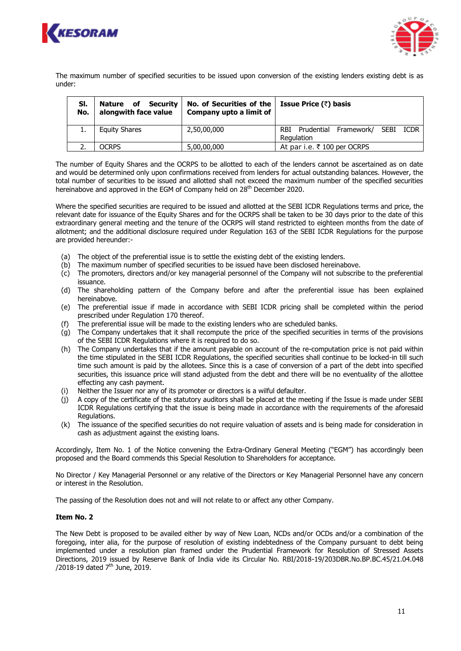



The maximum number of specified securities to be issued upon conversion of the existing lenders existing debt is as under:

| SI.<br>No. | <b>Nature of Security</b><br>alongwith face value | No. of Securities of the<br>Company upto a limit of | <b>Issue Price (₹) basis</b>                            |
|------------|---------------------------------------------------|-----------------------------------------------------|---------------------------------------------------------|
|            | <b>Equity Shares</b>                              | 2,50,00,000                                         | Prudential Framework/ SEBI<br>ICDR<br>RBI<br>Regulation |
|            | OCRPS                                             | 5,00,00,000                                         | At par i.e. ₹ 100 per OCRPS                             |

The number of Equity Shares and the OCRPS to be allotted to each of the lenders cannot be ascertained as on date and would be determined only upon confirmations received from lenders for actual outstanding balances. However, the total number of securities to be issued and allotted shall not exceed the maximum number of the specified securities hereinabove and approved in the EGM of Company held on 28<sup>th</sup> December 2020.

Where the specified securities are required to be issued and allotted at the SEBI ICDR Regulations terms and price, the relevant date for issuance of the Equity Shares and for the OCRPS shall be taken to be 30 days prior to the date of this extraordinary general meeting and the tenure of the OCRPS will stand restricted to eighteen months from the date of allotment; and the additional disclosure required under Regulation 163 of the SEBI ICDR Regulations for the purpose are provided hereunder:-

- (a) The object of the preferential issue is to settle the existing debt of the existing lenders.
- (b) The maximum number of specified securities to be issued have been disclosed hereinabove.
- (c) The promoters, directors and/or key managerial personnel of the Company will not subscribe to the preferential issuance.
- (d) The shareholding pattern of the Company before and after the preferential issue has been explained hereinabove.
- (e) The preferential issue if made in accordance with SEBI ICDR pricing shall be completed within the period prescribed under Regulation 170 thereof.
- (f) The preferential issue will be made to the existing lenders who are scheduled banks.
- (g) The Company undertakes that it shall recompute the price of the specified securities in terms of the provisions of the SEBI ICDR Regulations where it is required to do so.
- (h) The Company undertakes that if the amount payable on account of the re-computation price is not paid within the time stipulated in the SEBI ICDR Regulations, the specified securities shall continue to be locked-in till such time such amount is paid by the allotees. Since this is a case of conversion of a part of the debt into specified securities, this issuance price will stand adjusted from the debt and there will be no eventuality of the allottee effecting any cash payment.
- Neither the Issuer nor any of its promoter or directors is a wilful defaulter.
- A copy of the certificate of the statutory auditors shall be placed at the meeting if the Issue is made under SEBI ICDR Regulations certifying that the issue is being made in accordance with the requirements of the aforesaid Regulations.
- (k) The issuance of the specified securities do not require valuation of assets and is being made for consideration in cash as adjustment against the existing loans.

Accordingly, Item No. 1 of the Notice convening the Extra-Ordinary General Meeting ("EGM") has accordingly been proposed and the Board commends this Special Resolution to Shareholders for acceptance.

No Director / Key Managerial Personnel or any relative of the Directors or Key Managerial Personnel have any concern or interest in the Resolution.

The passing of the Resolution does not and will not relate to or affect any other Company.

## **Item No. 2**

The New Debt is proposed to be availed either by way of New Loan, NCDs and/or OCDs and/or a combination of the foregoing, inter alia, for the purpose of resolution of existing indebtedness of the Company pursuant to debt being implemented under a resolution plan framed under the Prudential Framework for Resolution of Stressed Assets Directions, 2019 issued by Reserve Bank of India vide its Circular No. RBI/2018-19/203DBR.No.BP.BC.45/21.04.048 /2018-19 dated  $7<sup>th</sup>$  June, 2019.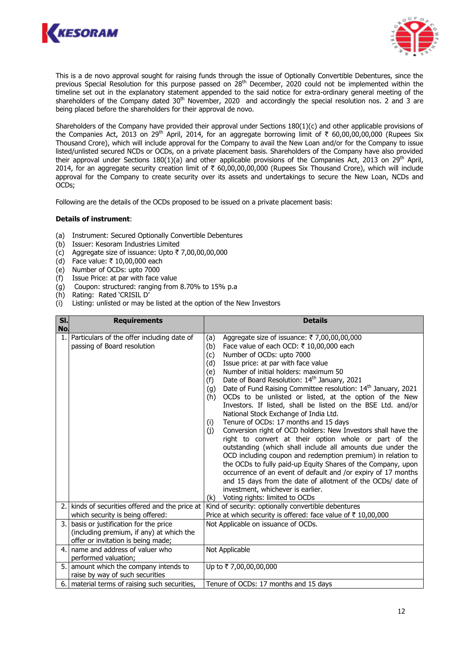



This is a de novo approval sought for raising funds through the issue of Optionally Convertible Debentures, since the previous Special Resolution for this purpose passed on 28<sup>th</sup> December, 2020 could not be implemented within the timeline set out in the explanatory statement appended to the said notice for extra-ordinary general meeting of the shareholders of the Company dated 30<sup>th</sup> November, 2020 and accordingly the special resolution nos. 2 and 3 are being placed before the shareholders for their approval de novo.

Shareholders of the Company have provided their approval under Sections 180(1)(c) and other applicable provisions of the Companies Act, 2013 on 29<sup>th</sup> April, 2014, for an aggregate borrowing limit of  $\bar{\tau}$  60,00,00,00,000 (Rupees Six Thousand Crore), which will include approval for the Company to avail the New Loan and/or for the Company to issue listed/unlisted secured NCDs or OCDs, on a private placement basis. Shareholders of the Company have also provided their approval under Sections 180(1)(a) and other applicable provisions of the Companies Act, 2013 on 29<sup>th</sup> April, 2014, for an aggregate security creation limit of  $\bar{\tau}$  60,00,00,00,000 (Rupees Six Thousand Crore), which will include approval for the Company to create security over its assets and undertakings to secure the New Loan, NCDs and OCDs;

Following are the details of the OCDs proposed to be issued on a private placement basis:

### **Details of instrument**:

- (a) Instrument: Secured Optionally Convertible Debentures
- (b) Issuer: Kesoram Industries Limited
- (c) Aggregate size of issuance: Upto  $\bar{\tau}$  7,00,00,00,000
- (d) Face value: ₹ 10,00,000 each
- (e) Number of OCDs: upto 7000
- (f) Issue Price: at par with face value
- Coupon: structured: ranging from 8.70% to 15% p.a (g) Coupon: Structured.........<br>(h) Rating: Rated 'CRISIL D'
- 
- (i) Listing: unlisted or may be listed at the option of the New Investors

| SI. | <b>Requirements</b>                             | <b>Details</b>                                                                                                            |  |  |
|-----|-------------------------------------------------|---------------------------------------------------------------------------------------------------------------------------|--|--|
| No. |                                                 |                                                                                                                           |  |  |
| 1.  | Particulars of the offer including date of      | Aggregate size of issuance: ₹7,00,00,00,000<br>(a)                                                                        |  |  |
|     | passing of Board resolution                     | Face value of each OCD: ₹ 10,00,000 each<br>(b)                                                                           |  |  |
|     |                                                 | Number of OCDs: upto 7000<br>(c)                                                                                          |  |  |
|     |                                                 | Issue price: at par with face value<br>(d)                                                                                |  |  |
|     |                                                 | Number of initial holders: maximum 50<br>(e)                                                                              |  |  |
|     |                                                 | Date of Board Resolution: 14th January, 2021<br>(f)                                                                       |  |  |
|     |                                                 | Date of Fund Raising Committee resolution: 14 <sup>th</sup> January, 2021<br>(g)                                          |  |  |
|     |                                                 | OCDs to be unlisted or listed, at the option of the New<br>(h)                                                            |  |  |
|     |                                                 | Investors. If listed, shall be listed on the BSE Ltd. and/or                                                              |  |  |
|     |                                                 | National Stock Exchange of India Ltd.<br>Tenure of OCDs: 17 months and 15 days                                            |  |  |
|     |                                                 | (i)<br>Conversion right of OCD holders: New Investors shall have the                                                      |  |  |
|     |                                                 | (j)                                                                                                                       |  |  |
|     |                                                 | right to convert at their option whole or part of the                                                                     |  |  |
|     |                                                 | outstanding (which shall include all amounts due under the<br>OCD including coupon and redemption premium) in relation to |  |  |
|     |                                                 | the OCDs to fully paid-up Equity Shares of the Company, upon                                                              |  |  |
|     |                                                 | occurrence of an event of default and /or expiry of 17 months                                                             |  |  |
|     |                                                 | and 15 days from the date of allotment of the OCDs/ date of                                                               |  |  |
|     |                                                 | investment, whichever is earlier.                                                                                         |  |  |
|     |                                                 | Voting rights: limited to OCDs<br>(k)                                                                                     |  |  |
|     | 2. kinds of securities offered and the price at | Kind of security: optionally convertible debentures                                                                       |  |  |
|     | which security is being offered:                | Price at which security is offered: face value of ₹10,00,000                                                              |  |  |
| 3.  | basis or justification for the price            | Not Applicable on issuance of OCDs.                                                                                       |  |  |
|     | (including premium, if any) at which the        |                                                                                                                           |  |  |
|     | offer or invitation is being made;              |                                                                                                                           |  |  |
| 4.  | name and address of valuer who                  | Not Applicable                                                                                                            |  |  |
|     | performed valuation;                            |                                                                                                                           |  |  |
|     | 5. amount which the company intends to          | Up to ₹7,00,00,00,000                                                                                                     |  |  |
|     | raise by way of such securities                 |                                                                                                                           |  |  |
|     | 6.   material terms of raising such securities, | Tenure of OCDs: 17 months and 15 days                                                                                     |  |  |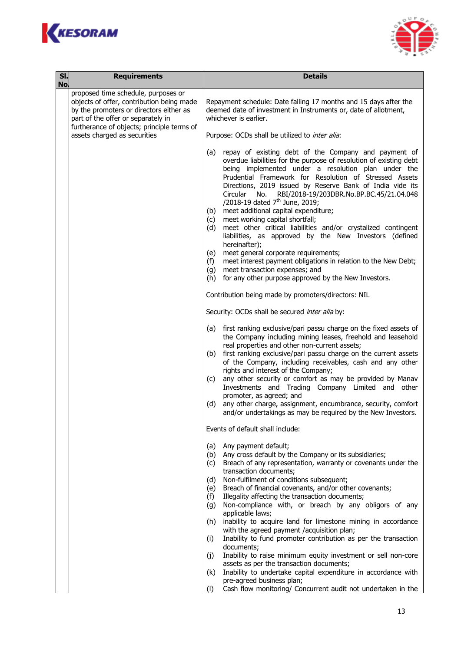



| SI.<br>No. | <b>Requirements</b>                                                                                                                                                                                             | <b>Details</b>                                                                                                                                                                                                                                                                                                                                                                                                                                                                                                                                                                                                                                                                                                                                                                                                                                                                                           |  |  |
|------------|-----------------------------------------------------------------------------------------------------------------------------------------------------------------------------------------------------------------|----------------------------------------------------------------------------------------------------------------------------------------------------------------------------------------------------------------------------------------------------------------------------------------------------------------------------------------------------------------------------------------------------------------------------------------------------------------------------------------------------------------------------------------------------------------------------------------------------------------------------------------------------------------------------------------------------------------------------------------------------------------------------------------------------------------------------------------------------------------------------------------------------------|--|--|
|            | proposed time schedule, purposes or<br>objects of offer, contribution being made<br>by the promoters or directors either as<br>part of the offer or separately in<br>furtherance of objects; principle terms of | Repayment schedule: Date falling 17 months and 15 days after the<br>deemed date of investment in Instruments or, date of allotment,<br>whichever is earlier.                                                                                                                                                                                                                                                                                                                                                                                                                                                                                                                                                                                                                                                                                                                                             |  |  |
|            | assets charged as securities                                                                                                                                                                                    | Purpose: OCDs shall be utilized to inter alia:                                                                                                                                                                                                                                                                                                                                                                                                                                                                                                                                                                                                                                                                                                                                                                                                                                                           |  |  |
|            |                                                                                                                                                                                                                 | repay of existing debt of the Company and payment of<br>(a)<br>overdue liabilities for the purpose of resolution of existing debt<br>being implemented under a resolution plan under the<br>Prudential Framework for Resolution of Stressed Assets<br>Directions, 2019 issued by Reserve Bank of India vide its<br>RBI/2018-19/203DBR.No.BP.BC.45/21.04.048<br>Circular<br>No.<br>/2018-19 dated 7 <sup>th</sup> June, 2019;<br>meet additional capital expenditure;<br>(b)<br>meet working capital shortfall;<br>(c)<br>meet other critical liabilities and/or crystalized contingent<br>(d)<br>liabilities, as approved by the New Investors (defined<br>hereinafter);<br>meet general corporate requirements;<br>(e)<br>meet interest payment obligations in relation to the New Debt;<br>(f)<br>meet transaction expenses; and<br>(g)<br>for any other purpose approved by the New Investors.<br>(h) |  |  |
|            |                                                                                                                                                                                                                 | Contribution being made by promoters/directors: NIL                                                                                                                                                                                                                                                                                                                                                                                                                                                                                                                                                                                                                                                                                                                                                                                                                                                      |  |  |
|            |                                                                                                                                                                                                                 | Security: OCDs shall be secured inter alia by:                                                                                                                                                                                                                                                                                                                                                                                                                                                                                                                                                                                                                                                                                                                                                                                                                                                           |  |  |
|            |                                                                                                                                                                                                                 | (a) first ranking exclusive/pari passu charge on the fixed assets of<br>the Company including mining leases, freehold and leasehold<br>real properties and other non-current assets;<br>first ranking exclusive/pari passu charge on the current assets<br>(b)<br>of the Company, including receivables, cash and any other<br>rights and interest of the Company;<br>any other security or comfort as may be provided by Manav<br>(c)<br>Investments and Trading Company Limited and other<br>promoter, as agreed; and<br>any other charge, assignment, encumbrance, security, comfort<br>(d)<br>and/or undertakings as may be required by the New Investors.                                                                                                                                                                                                                                           |  |  |
|            |                                                                                                                                                                                                                 | Events of default shall include:                                                                                                                                                                                                                                                                                                                                                                                                                                                                                                                                                                                                                                                                                                                                                                                                                                                                         |  |  |
|            |                                                                                                                                                                                                                 | Any payment default;<br>(a)<br>Any cross default by the Company or its subsidiaries;<br>(b)<br>Breach of any representation, warranty or covenants under the<br>(c)<br>transaction documents;<br>Non-fulfilment of conditions subsequent;<br>(d)<br>Breach of financial covenants, and/or other covenants;<br>(e)<br>Illegality affecting the transaction documents;<br>(f)<br>Non-compliance with, or breach by any obligors of any<br>(g)<br>applicable laws;<br>inability to acquire land for limestone mining in accordance<br>(h)<br>with the agreed payment /acquisition plan;<br>Inability to fund promoter contribution as per the transaction<br>(i)<br>documents;<br>Inability to raise minimum equity investment or sell non-core<br>(j)                                                                                                                                                      |  |  |
|            |                                                                                                                                                                                                                 | assets as per the transaction documents;<br>Inability to undertake capital expenditure in accordance with<br>(k)                                                                                                                                                                                                                                                                                                                                                                                                                                                                                                                                                                                                                                                                                                                                                                                         |  |  |
|            |                                                                                                                                                                                                                 | pre-agreed business plan;<br>Cash flow monitoring/ Concurrent audit not undertaken in the<br>(1)                                                                                                                                                                                                                                                                                                                                                                                                                                                                                                                                                                                                                                                                                                                                                                                                         |  |  |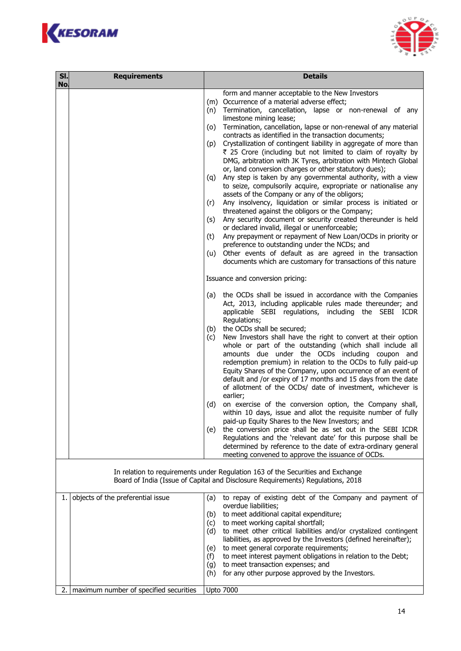



| SI. | <b>Requirements</b>                                                                                                                                                | <b>Details</b>                                                                                                                                                                                                                                                                                                                                                                                                                                                                                                                                                                                                                                                                                                                                                                                                                                                                                                                                                                                                                                                                                                                                                                                                                                                                                                                                                                                                                                                                                                                                                                                                                                                                                                                                                                                                                                                                                                                                                                                                                                                                                                                                                                                                                                             |  |  |
|-----|--------------------------------------------------------------------------------------------------------------------------------------------------------------------|------------------------------------------------------------------------------------------------------------------------------------------------------------------------------------------------------------------------------------------------------------------------------------------------------------------------------------------------------------------------------------------------------------------------------------------------------------------------------------------------------------------------------------------------------------------------------------------------------------------------------------------------------------------------------------------------------------------------------------------------------------------------------------------------------------------------------------------------------------------------------------------------------------------------------------------------------------------------------------------------------------------------------------------------------------------------------------------------------------------------------------------------------------------------------------------------------------------------------------------------------------------------------------------------------------------------------------------------------------------------------------------------------------------------------------------------------------------------------------------------------------------------------------------------------------------------------------------------------------------------------------------------------------------------------------------------------------------------------------------------------------------------------------------------------------------------------------------------------------------------------------------------------------------------------------------------------------------------------------------------------------------------------------------------------------------------------------------------------------------------------------------------------------------------------------------------------------------------------------------------------------|--|--|
| No. |                                                                                                                                                                    | form and manner acceptable to the New Investors<br>(m) Occurrence of a material adverse effect;<br>Termination, cancellation, lapse or non-renewal of any<br>(n)<br>limestone mining lease;<br>Termination, cancellation, lapse or non-renewal of any material<br>(o)<br>contracts as identified in the transaction documents;<br>(p) Crystallization of contingent liability in aggregate of more than<br>₹ 25 Crore (including but not limited to claim of royalty by<br>DMG, arbitration with JK Tyres, arbitration with Mintech Global<br>or, land conversion charges or other statutory dues);<br>Any step is taken by any governmental authority, with a view<br>(g)<br>to seize, compulsorily acquire, expropriate or nationalise any<br>assets of the Company or any of the obligors;<br>Any insolvency, liquidation or similar process is initiated or<br>(r)<br>threatened against the obligors or the Company;<br>Any security document or security created thereunder is held<br>(s)<br>or declared invalid, illegal or unenforceable;<br>Any prepayment or repayment of New Loan/OCDs in priority or<br>(t)<br>preference to outstanding under the NCDs; and<br>Other events of default as are agreed in the transaction<br>(u)<br>documents which are customary for transactions of this nature<br>Issuance and conversion pricing:<br>the OCDs shall be issued in accordance with the Companies<br>(a)<br>Act, 2013, including applicable rules made thereunder; and<br>applicable SEBI regulations, including the SEBI ICDR<br>Regulations;<br>the OCDs shall be secured;<br>(b)<br>New Investors shall have the right to convert at their option<br>(c)<br>whole or part of the outstanding (which shall include all<br>amounts due under the OCDs including coupon and<br>redemption premium) in relation to the OCDs to fully paid-up<br>Equity Shares of the Company, upon occurrence of an event of<br>default and /or expiry of 17 months and 15 days from the date<br>of allotment of the OCDs/ date of investment, whichever is<br>earlier;<br>(d)<br>on exercise of the conversion option, the Company shall,<br>within 10 days, issue and allot the requisite number of fully<br>paid-up Equity Shares to the New Investors; and |  |  |
|     |                                                                                                                                                                    | the conversion price shall be as set out in the SEBI ICDR<br>(e)<br>Regulations and the 'relevant date' for this purpose shall be<br>determined by reference to the date of extra-ordinary general<br>meeting convened to approve the issuance of OCDs.                                                                                                                                                                                                                                                                                                                                                                                                                                                                                                                                                                                                                                                                                                                                                                                                                                                                                                                                                                                                                                                                                                                                                                                                                                                                                                                                                                                                                                                                                                                                                                                                                                                                                                                                                                                                                                                                                                                                                                                                    |  |  |
|     | In relation to requirements under Regulation 163 of the Securities and Exchange<br>Board of India (Issue of Capital and Disclosure Requirements) Regulations, 2018 |                                                                                                                                                                                                                                                                                                                                                                                                                                                                                                                                                                                                                                                                                                                                                                                                                                                                                                                                                                                                                                                                                                                                                                                                                                                                                                                                                                                                                                                                                                                                                                                                                                                                                                                                                                                                                                                                                                                                                                                                                                                                                                                                                                                                                                                            |  |  |
| 1.  | objects of the preferential issue                                                                                                                                  | to repay of existing debt of the Company and payment of<br>(a)<br>overdue liabilities;<br>to meet additional capital expenditure;<br>(b)<br>to meet working capital shortfall;<br>(c)<br>to meet other critical liabilities and/or crystalized contingent<br>(d)<br>liabilities, as approved by the Investors (defined hereinafter);<br>to meet general corporate requirements;<br>(e)<br>to meet interest payment obligations in relation to the Debt;<br>(f)<br>to meet transaction expenses; and<br>(g)<br>for any other purpose approved by the Investors.<br>(h)                                                                                                                                                                                                                                                                                                                                                                                                                                                                                                                                                                                                                                                                                                                                                                                                                                                                                                                                                                                                                                                                                                                                                                                                                                                                                                                                                                                                                                                                                                                                                                                                                                                                                      |  |  |
| 2.  | maximum number of specified securities                                                                                                                             | <b>Upto 7000</b>                                                                                                                                                                                                                                                                                                                                                                                                                                                                                                                                                                                                                                                                                                                                                                                                                                                                                                                                                                                                                                                                                                                                                                                                                                                                                                                                                                                                                                                                                                                                                                                                                                                                                                                                                                                                                                                                                                                                                                                                                                                                                                                                                                                                                                           |  |  |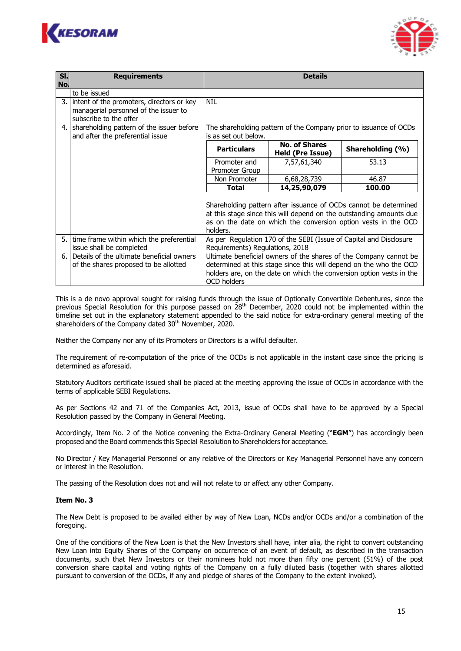



| SI. | <b>Requirements</b>                          | <b>Details</b>                                                                                                                                                                                                        |                                                                   |                                                                      |  |
|-----|----------------------------------------------|-----------------------------------------------------------------------------------------------------------------------------------------------------------------------------------------------------------------------|-------------------------------------------------------------------|----------------------------------------------------------------------|--|
| No. |                                              |                                                                                                                                                                                                                       |                                                                   |                                                                      |  |
|     | to be issued                                 |                                                                                                                                                                                                                       |                                                                   |                                                                      |  |
|     | 3. intent of the promoters, directors or key | <b>NIL</b>                                                                                                                                                                                                            |                                                                   |                                                                      |  |
|     | managerial personnel of the issuer to        |                                                                                                                                                                                                                       |                                                                   |                                                                      |  |
|     | subscribe to the offer                       |                                                                                                                                                                                                                       |                                                                   |                                                                      |  |
|     | 4. Shareholding pattern of the issuer before |                                                                                                                                                                                                                       | The shareholding pattern of the Company prior to issuance of OCDs |                                                                      |  |
|     | and after the preferential issue             | is as set out below.                                                                                                                                                                                                  |                                                                   |                                                                      |  |
|     |                                              | <b>Particulars</b>                                                                                                                                                                                                    | <b>No. of Shares</b><br><b>Held (Pre Issue)</b>                   | Shareholding (%)                                                     |  |
|     |                                              | Promoter and                                                                                                                                                                                                          | 7,57,61,340                                                       | 53.13                                                                |  |
|     |                                              | <b>Promoter Group</b>                                                                                                                                                                                                 |                                                                   |                                                                      |  |
|     |                                              | Non Promoter                                                                                                                                                                                                          | 6,68,28,739                                                       | 46.87                                                                |  |
|     |                                              | <b>Total</b>                                                                                                                                                                                                          | 14,25,90,079                                                      | 100.00                                                               |  |
|     |                                              | Shareholding pattern after issuance of OCDs cannot be determined<br>at this stage since this will depend on the outstanding amounts due<br>as on the date on which the conversion option vests in the OCD<br>holders. |                                                                   |                                                                      |  |
|     | 5. time frame within which the preferential  | As per Regulation 170 of the SEBI (Issue of Capital and Disclosure                                                                                                                                                    |                                                                   |                                                                      |  |
|     | issue shall be completed                     | Requirements) Regulations, 2018                                                                                                                                                                                       |                                                                   |                                                                      |  |
| 6.  | Details of the ultimate beneficial owners    | Ultimate beneficial owners of the shares of the Company cannot be                                                                                                                                                     |                                                                   |                                                                      |  |
|     | of the shares proposed to be allotted        | determined at this stage since this will depend on the who the OCD                                                                                                                                                    |                                                                   |                                                                      |  |
|     |                                              | OCD holders                                                                                                                                                                                                           |                                                                   | holders are, on the date on which the conversion option vests in the |  |

This is a de novo approval sought for raising funds through the issue of Optionally Convertible Debentures, since the previous Special Resolution for this purpose passed on 28<sup>th</sup> December, 2020 could not be implemented within the timeline set out in the explanatory statement appended to the said notice for extra-ordinary general meeting of the shareholders of the Company dated 30<sup>th</sup> November, 2020.

Neither the Company nor any of its Promoters or Directors is a wilful defaulter.

The requirement of re-computation of the price of the OCDs is not applicable in the instant case since the pricing is determined as aforesaid.

Statutory Auditors certificate issued shall be placed at the meeting approving the issue of OCDs in accordance with the terms of applicable SEBI Regulations.

As per Sections 42 and 71 of the Companies Act, 2013, issue of OCDs shall have to be approved by a Special Resolution passed by the Company in General Meeting.

Accordingly, Item No. 2 of the Notice convening the Extra-Ordinary General Meeting ("**EGM**") has accordingly been proposed and the Board commends this Special Resolution to Shareholders for acceptance.

No Director / Key Managerial Personnel or any relative of the Directors or Key Managerial Personnel have any concern or interest in the Resolution.

The passing of the Resolution does not and will not relate to or affect any other Company.

## **Item No. 3**

The New Debt is proposed to be availed either by way of New Loan, NCDs and/or OCDs and/or a combination of the foregoing.

One of the conditions of the New Loan is that the New Investors shall have, inter alia, the right to convert outstanding New Loan into Equity Shares of the Company on occurrence of an event of default, as described in the transaction documents, such that New Investors or their nominees hold not more than fifty one percent (51%) of the post conversion share capital and voting rights of the Company on a fully diluted basis (together with shares allotted pursuant to conversion of the OCDs, if any and pledge of shares of the Company to the extent invoked).